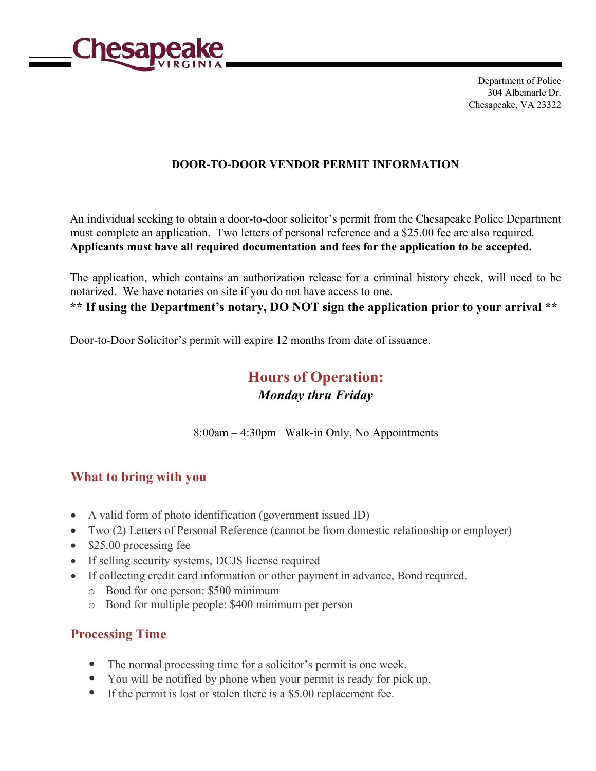

Department of Police 304 Albemarle Dr. Chesapeake, VA 23322

#### **DOOR-TO-DOOR VENDOR PERMIT INFORMATION**

An individual seeking to obtain a door-to-door solicitor's permit from the Chesapeake Police Department must complete an application. Two letters of personal reference and a \$25.00 fee are also required. **Applicants must have all required documentation and fees for the application to be accepted.** 

The application, which contains an authorization release for a criminal history check, will need to be notarized. We have notaries on site if you do not have access to one. **\*\* If using the Department's notary, DO NOT sign the application prior to your arrival \*\*** 

Door-to-Door Solicitor's permit will expire 12 months from date of issuance.

# **Hours of Operation:**  *Monday thru Friday*

8:00am – 4:30pm Walk-in Only, No Appointments

### **What to bring with you**

- A valid form of photo identification (government issued ID)
- Two (2) Letters of Personal Reference (cannot be from domestic relationship or employer)
- \$25.00 processing fee
- If selling security systems, DCJS license required
- If collecting credit card information or other payment in advance, Bond required.
	- o Bond for one person: \$500 minimum
	- o Bond for multiple people: \$400 minimum per person

## **Processing Time**

- The normal processing time for a solicitor's permit is one week.
- You will be notified by phone when your permit is ready for pick up.
- If the permit is lost or stolen there is a \$5.00 replacement fee.